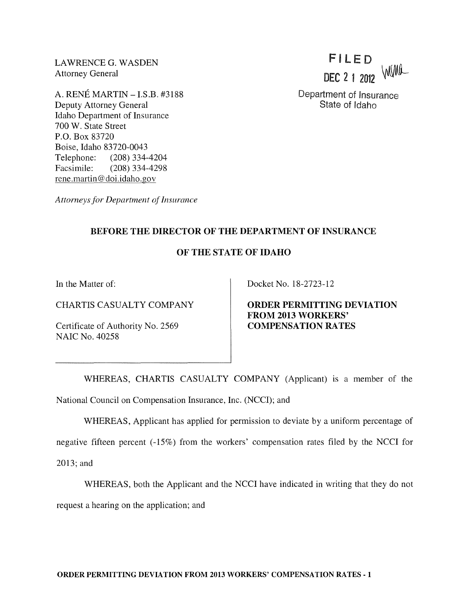LAWRENCE G. WASDEN Attorney General

A. RENE MARTIN -I.S.B. #3188 Deputy Attorney General Idaho Department of Insurance 700 W. State Street P.O. Box 83720 Boise, Idaho 83720-0043 Telephone: (208) 334-4204 Facsimile: (208) 334-4298 rene.martin@doi.idaho.gov

FI LE D DEC 2 1 2012 WWW

Department of Insurance State of Idaho

*Attorneys for Department of Insurance* 

## BEFORE THE DIRECTOR OF THE DEPARTMENT OF INSURANCE

## OF THE STATE OF IDAHO

In the Matter of:

CHARTIS CASUALTY COMPANY

Certificate of Authority No. 2569 NAIC No. 40258

Docket No. 18-2723-12

ORDER PERMITTING DEVIATION FROM 2013 WORKERS' COMPENSATION RATES

WHEREAS, CHARTIS CASUALTY COMPANY (Applicant) is a member of the National Council on Compensation Insurance, Inc. (NCCI); and

WHEREAS, Applicant has applied for permission to deviate by a uniform percentage of

negative fifteen percent (-15%) from the workers' compensation rates filed by the NCCI for 2013; and

WHEREAS, both the Applicant and the NCCI have indicated in writing that they do not request a hearing on the application; and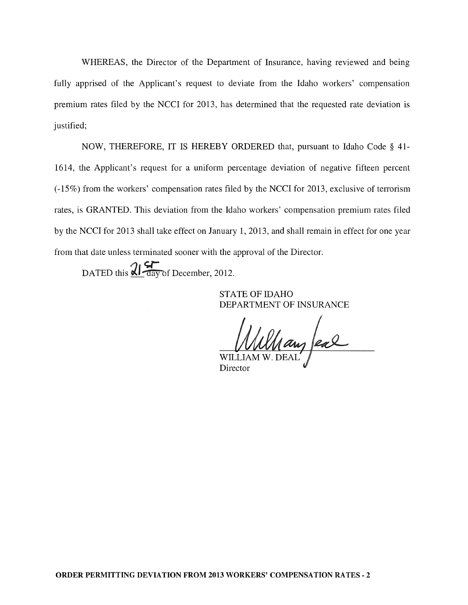WHEREAS, the Director of the Department of Insurance, having reviewed and being fully apprised of the Applicant's request to deviate from the Idaho workers' compensation premium rates filed by the NCCI for 2013, has determined that the requested rate deviation is justified;

NOW, THEREFORE, IT IS HEREBY ORDERED that, pursuant to Idaho Code § 41- 1614, the Applicant's request for a uniform percentage deviation of negative fifteen percent (-15%) from the workers' compensation rates filed by the NCCI for 2013, exclusive of terrorism rates, is GRANTED. This deviation from the Idaho workers' compensation premium rates filed by the NCCI for 2013 shall take effect on January 1,2013, and shall remain in effect for one year from that date unless terminated sooner with the approval of the Director.

DATED this  $\mathcal{U}$  day of December, 2012.

STATE OF IDAHO DEPARTMENT OF INSURANCE

lang eal

Director